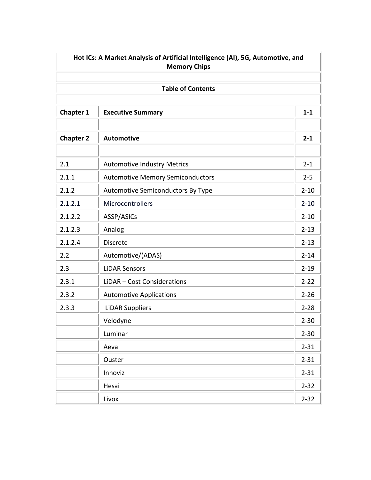|                  | Hot ICs: A Market Analysis of Artificial Intelligence (AI), 5G, Automotive, and<br><b>Memory Chips</b> |          |
|------------------|--------------------------------------------------------------------------------------------------------|----------|
|                  | <b>Table of Contents</b>                                                                               |          |
| <b>Chapter 1</b> | <b>Executive Summary</b>                                                                               | $1 - 1$  |
| <b>Chapter 2</b> | <b>Automotive</b>                                                                                      | $2 - 1$  |
| 2.1              | <b>Automotive Industry Metrics</b>                                                                     | $2 - 1$  |
| 2.1.1            | <b>Automotive Memory Semiconductors</b>                                                                | $2 - 5$  |
| 2.1.2            | Automotive Semiconductors By Type                                                                      | $2 - 10$ |
| 2.1.2.1          | Microcontrollers                                                                                       | $2 - 10$ |
| 2.1.2.2          | ASSP/ASICs                                                                                             | $2 - 10$ |
| 2.1.2.3          | Analog                                                                                                 | $2 - 13$ |
| 2.1.2.4          | <b>Discrete</b>                                                                                        | $2 - 13$ |
| 2.2              | Automotive/(ADAS)                                                                                      | $2 - 14$ |
| 2.3              | <b>LiDAR Sensors</b>                                                                                   | $2 - 19$ |
| 2.3.1            | LiDAR - Cost Considerations                                                                            | $2 - 22$ |
| 2.3.2            | <b>Automotive Applications</b>                                                                         | $2 - 26$ |
| 2.3.3            | <b>LiDAR Suppliers</b>                                                                                 | $2 - 28$ |
|                  | Velodyne                                                                                               | $2 - 30$ |
|                  | Luminar                                                                                                | $2 - 30$ |
|                  | Aeva                                                                                                   | $2 - 31$ |
|                  | Ouster                                                                                                 | $2 - 31$ |
|                  | Innoviz                                                                                                | $2 - 31$ |
|                  | Hesai                                                                                                  | $2 - 32$ |
|                  | Livox                                                                                                  | $2 - 32$ |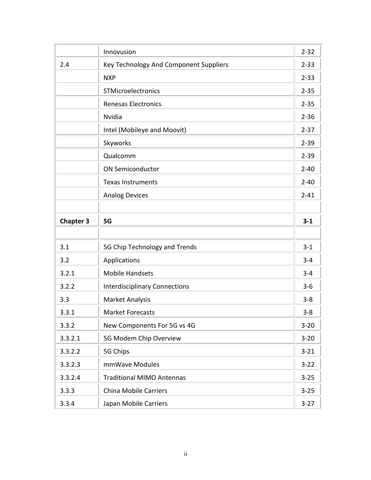|                  | Innovusion                             | $2 - 32$ |
|------------------|----------------------------------------|----------|
| 2.4              | Key Technology And Component Suppliers | $2 - 33$ |
|                  | <b>NXP</b>                             | $2 - 33$ |
|                  | STMicroelectronics                     | $2 - 35$ |
|                  | <b>Renesas Electronics</b>             | $2 - 35$ |
|                  | <b>Nvidia</b>                          | $2 - 36$ |
|                  | Intel (Mobileye and Moovit)            | $2 - 37$ |
|                  | Skyworks                               | $2 - 39$ |
|                  | Qualcomm                               | $2 - 39$ |
|                  | <b>ON Semiconductor</b>                | $2 - 40$ |
|                  | <b>Texas Instruments</b>               | $2 - 40$ |
|                  | <b>Analog Devices</b>                  | $2 - 41$ |
|                  |                                        |          |
| <b>Chapter 3</b> | 5G                                     | $3 - 1$  |
|                  |                                        |          |
| 3.1              | 5G Chip Technology and Trends          | $3 - 1$  |
| 3.2              | Applications                           | $3 - 4$  |
| 3.2.1            | <b>Mobile Handsets</b>                 | $3 - 4$  |
| 3.2.2            | <b>Interdisciplinary Connections</b>   | $3 - 6$  |
| 3.3              | <b>Market Analysis</b>                 | $3 - 8$  |
| 3.3.1            | <b>Market Forecasts</b>                | $3 - 8$  |
| 3.3.2            | New Components For 5G vs 4G            | $3 - 20$ |
| 3.3.2.1          | 5G Modem Chip Overview                 | $3 - 20$ |
| 3.3.2.2          | 5G Chips                               | $3 - 21$ |
| 3.3.2.3          | mmWave Modules                         | $3 - 22$ |
| 3.3.2.4          | <b>Traditional MIMO Antennas</b>       | $3 - 25$ |
| 3.3.3            | <b>China Mobile Carriers</b>           | $3 - 25$ |
| 3.3.4            | Japan Mobile Carriers                  | $3 - 27$ |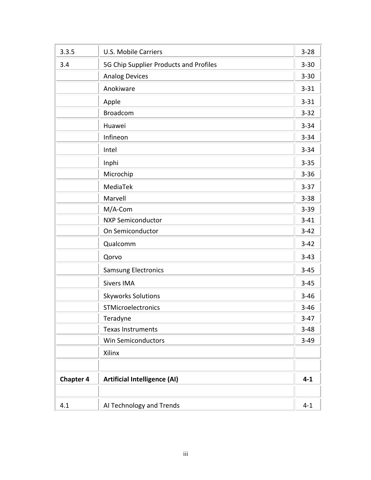| 3.3.5            | <b>U.S. Mobile Carriers</b>            | $3 - 28$ |
|------------------|----------------------------------------|----------|
| 3.4              | 5G Chip Supplier Products and Profiles | $3 - 30$ |
|                  | <b>Analog Devices</b>                  | $3 - 30$ |
|                  | Anokiware                              | $3 - 31$ |
|                  | Apple                                  | $3 - 31$ |
|                  | <b>Broadcom</b>                        | $3 - 32$ |
|                  | Huawei                                 | $3 - 34$ |
|                  | Infineon                               | $3 - 34$ |
|                  | Intel                                  | $3 - 34$ |
|                  | Inphi                                  | $3 - 35$ |
|                  | Microchip                              | $3 - 36$ |
|                  | MediaTek                               | $3 - 37$ |
|                  | Marvell                                | $3 - 38$ |
|                  | M/A-Com                                | $3 - 39$ |
|                  | <b>NXP Semiconductor</b>               | $3 - 41$ |
|                  | On Semiconductor                       | $3 - 42$ |
|                  | Qualcomm                               | $3 - 42$ |
|                  | Qorvo                                  | $3 - 43$ |
|                  | <b>Samsung Electronics</b>             | $3 - 45$ |
|                  | <b>Sivers IMA</b>                      | $3 - 45$ |
|                  | <b>Skyworks Solutions</b>              | $3 - 46$ |
|                  | STMicroelectronics                     | $3 - 46$ |
|                  | Teradyne                               | $3-47$   |
|                  | <b>Texas Instruments</b>               | $3 - 48$ |
|                  | Win Semiconductors                     | $3 - 49$ |
|                  | Xilinx                                 |          |
|                  |                                        |          |
| <b>Chapter 4</b> | <b>Artificial Intelligence (AI)</b>    | $4 - 1$  |
| 4.1              | AI Technology and Trends               | $4 - 1$  |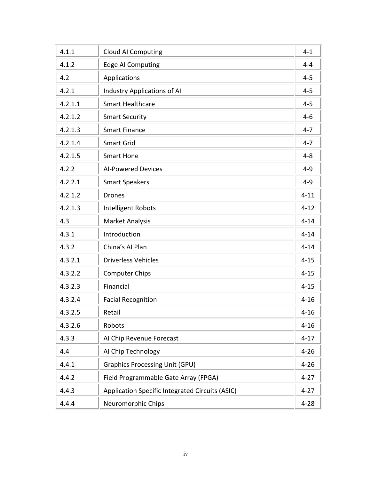| 4.1.1   | <b>Cloud AI Computing</b>                       | $4 - 1$  |
|---------|-------------------------------------------------|----------|
| 4.1.2   | <b>Edge AI Computing</b>                        | $4 - 4$  |
| 4.2     | Applications                                    | $4 - 5$  |
| 4.2.1   | <b>Industry Applications of AI</b>              | $4 - 5$  |
| 4.2.1.1 | <b>Smart Healthcare</b>                         | $4 - 5$  |
| 4.2.1.2 | <b>Smart Security</b>                           | $4 - 6$  |
| 4.2.1.3 | <b>Smart Finance</b>                            | $4 - 7$  |
| 4.2.1.4 | <b>Smart Grid</b>                               | $4 - 7$  |
| 4.2.1.5 | <b>Smart Hone</b>                               | $4 - 8$  |
| 4.2.2   | <b>AI-Powered Devices</b>                       | $4 - 9$  |
| 4.2.2.1 | <b>Smart Speakers</b>                           | $4 - 9$  |
| 4.2.1.2 | <b>Drones</b>                                   | $4 - 11$ |
| 4.2.1.3 | <b>Intelligent Robots</b>                       | $4 - 12$ |
| 4.3     | <b>Market Analysis</b>                          | $4 - 14$ |
| 4.3.1   | Introduction                                    | $4 - 14$ |
| 4.3.2   | China's Al Plan                                 | $4 - 14$ |
| 4.3.2.1 | <b>Driverless Vehicles</b>                      | $4 - 15$ |
| 4.3.2.2 | <b>Computer Chips</b>                           | $4 - 15$ |
| 4.3.2.3 | Financial                                       | $4 - 15$ |
| 4.3.2.4 | <b>Facial Recognition</b>                       | $4 - 16$ |
| 4.3.2.5 | Retail                                          | $4 - 16$ |
| 4.3.2.6 | Robots                                          | $4 - 16$ |
| 4.3.3   | Al Chip Revenue Forecast                        | $4 - 17$ |
| 4.4     | AI Chip Technology                              | $4 - 26$ |
| 4.4.1   | <b>Graphics Processing Unit (GPU)</b>           | $4 - 26$ |
| 4.4.2   | Field Programmable Gate Array (FPGA)            | $4 - 27$ |
| 4.4.3   | Application Specific Integrated Circuits (ASIC) | $4 - 27$ |
| 4.4.4   | Neuromorphic Chips                              | $4 - 28$ |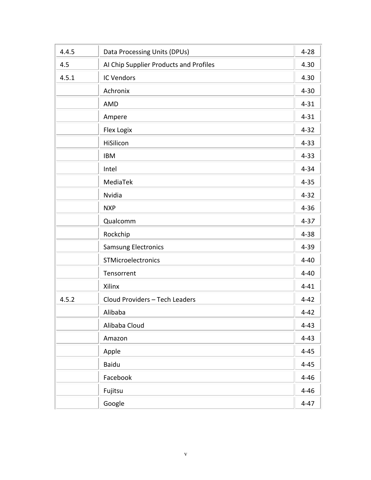| 4.4.5 | Data Processing Units (DPUs)           | $4 - 28$ |
|-------|----------------------------------------|----------|
| 4.5   | AI Chip Supplier Products and Profiles | 4.30     |
| 4.5.1 | <b>IC Vendors</b>                      | 4.30     |
|       | Achronix                               | $4 - 30$ |
|       | AMD                                    | $4 - 31$ |
|       | Ampere                                 | $4 - 31$ |
|       | Flex Logix                             | $4 - 32$ |
|       | HiSilicon                              | $4 - 33$ |
|       | <b>IBM</b>                             | $4 - 33$ |
|       | Intel                                  | $4 - 34$ |
|       | MediaTek                               | $4 - 35$ |
|       | Nvidia                                 | $4 - 32$ |
|       | <b>NXP</b>                             | $4 - 36$ |
|       | Qualcomm                               | $4 - 37$ |
|       | Rockchip                               | $4 - 38$ |
|       | <b>Samsung Electronics</b>             | $4 - 39$ |
|       | STMicroelectronics                     | $4 - 40$ |
|       | Tensorrent                             | $4 - 40$ |
|       | Xilinx                                 | $4 - 41$ |
| 4.5.2 | Cloud Providers - Tech Leaders         | $4 - 42$ |
|       | Alibaba                                | $4 - 42$ |
|       | Alibaba Cloud                          | $4 - 43$ |
|       | Amazon                                 | $4 - 43$ |
|       | Apple                                  | $4 - 45$ |
|       | <b>Baidu</b>                           | $4 - 45$ |
|       | Facebook                               | $4 - 46$ |
|       | Fujitsu                                | $4 - 46$ |
|       | Google                                 | $4 - 47$ |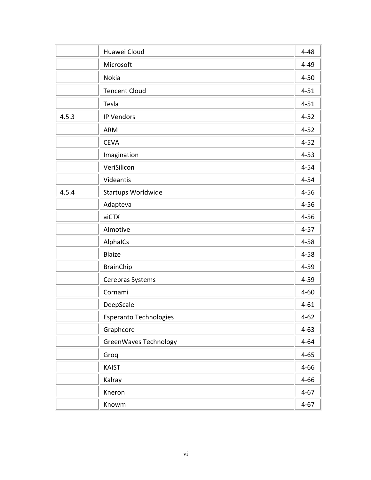|       | Huawei Cloud                  | $4 - 48$ |
|-------|-------------------------------|----------|
|       | Microsoft                     | $4 - 49$ |
|       | Nokia                         | $4 - 50$ |
|       | <b>Tencent Cloud</b>          | $4 - 51$ |
|       | Tesla                         | $4 - 51$ |
| 4.5.3 | <b>IP Vendors</b>             | $4 - 52$ |
|       | <b>ARM</b>                    | $4 - 52$ |
|       | <b>CEVA</b>                   | $4 - 52$ |
|       | Imagination                   | $4 - 53$ |
|       | VeriSilicon                   | $4 - 54$ |
|       | Videantis                     | $4 - 54$ |
| 4.5.4 | Startups Worldwide            | $4 - 56$ |
|       | Adapteva                      | $4 - 56$ |
|       | aiCTX                         | $4 - 56$ |
|       | Almotive                      | $4 - 57$ |
|       | AlphaICs                      | $4 - 58$ |
|       | <b>Blaize</b>                 | $4 - 58$ |
|       | <b>BrainChip</b>              | $4 - 59$ |
|       | Cerebras Systems              | $4 - 59$ |
|       | Cornami                       | $4 - 60$ |
|       | DeepScale                     | $4 - 61$ |
|       | <b>Esperanto Technologies</b> | $4 - 62$ |
|       | Graphcore                     | $4 - 63$ |
|       | GreenWaves Technology         | $4 - 64$ |
|       | Groq                          | $4 - 65$ |
|       | <b>KAIST</b>                  | $4 - 66$ |
|       | Kalray                        | $4 - 66$ |
|       | Kneron                        | $4 - 67$ |
|       | Knowm                         | $4 - 67$ |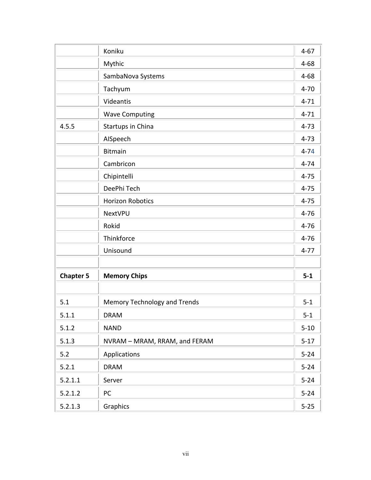|                  | Koniku                        | $4 - 67$ |
|------------------|-------------------------------|----------|
|                  | Mythic                        | $4 - 68$ |
|                  | SambaNova Systems             | $4 - 68$ |
|                  | Tachyum                       | $4 - 70$ |
|                  | Videantis                     | $4 - 71$ |
|                  | <b>Wave Computing</b>         | $4 - 71$ |
| 4.5.5            | Startups in China             | $4 - 73$ |
|                  | AISpeech                      | $4 - 73$ |
|                  | <b>Bitmain</b>                | $4 - 74$ |
|                  | Cambricon                     | $4 - 74$ |
|                  | Chipintelli                   | $4 - 75$ |
|                  | DeePhi Tech                   | $4 - 75$ |
|                  | <b>Horizon Robotics</b>       | $4 - 75$ |
|                  | <b>NextVPU</b>                | $4 - 76$ |
|                  | Rokid                         | $4 - 76$ |
|                  | Thinkforce                    | $4 - 76$ |
|                  | Unisound                      | $4 - 77$ |
|                  |                               |          |
| <b>Chapter 5</b> | <b>Memory Chips</b>           | $5-1$    |
| 5.1              | Memory Technology and Trends  | $5 - 1$  |
| 5.1.1            | <b>DRAM</b>                   | $5 - 1$  |
| 5.1.2            | <b>NAND</b>                   | $5 - 10$ |
| 5.1.3            | NVRAM - MRAM, RRAM, and FERAM | $5 - 17$ |
| 5.2              | Applications                  | $5 - 24$ |
| 5.2.1            | <b>DRAM</b>                   | $5 - 24$ |
| 5.2.1.1          | Server                        | $5 - 24$ |
| 5.2.1.2          | PC                            | $5 - 24$ |
| 5.2.1.3          | Graphics                      | $5 - 25$ |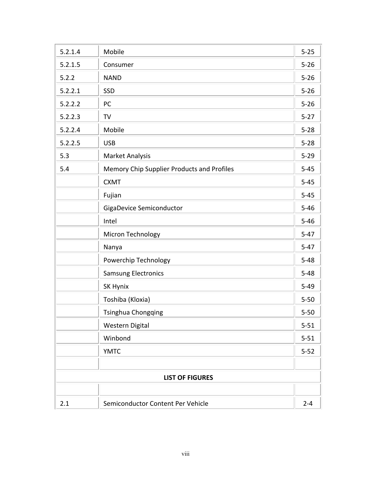| 5.2.1.4 | Mobile                                     | $5 - 25$ |
|---------|--------------------------------------------|----------|
| 5.2.1.5 | Consumer                                   | $5 - 26$ |
| 5.2.2   | <b>NAND</b>                                | $5 - 26$ |
| 5.2.2.1 | SSD                                        | $5 - 26$ |
| 5.2.2.2 | PC                                         | $5 - 26$ |
| 5.2.2.3 | TV                                         | $5 - 27$ |
| 5.2.2.4 | Mobile                                     | $5 - 28$ |
| 5.2.2.5 | <b>USB</b>                                 | $5 - 28$ |
| 5.3     | Market Analysis                            | $5 - 29$ |
| 5.4     | Memory Chip Supplier Products and Profiles | $5 - 45$ |
|         | <b>CXMT</b>                                | $5 - 45$ |
|         | Fujian                                     | $5 - 45$ |
|         | GigaDevice Semiconductor                   | $5 - 46$ |
|         | Intel                                      | $5 - 46$ |
|         | Micron Technology                          | $5 - 47$ |
|         | Nanya                                      | $5 - 47$ |
|         | Powerchip Technology                       | $5 - 48$ |
|         | Samsung Electronics                        | $5 - 48$ |
|         | SK Hynix                                   | $5 - 49$ |
|         | Toshiba (Kloxia)                           | $5 - 50$ |
|         | Tsinghua Chongqing                         | $5 - 50$ |
|         | Western Digital                            | $5 - 51$ |
|         | Winbond                                    | $5 - 51$ |
|         | <b>YMTC</b>                                | $5 - 52$ |
|         |                                            |          |
|         | <b>LIST OF FIGURES</b>                     |          |
|         |                                            |          |
| 2.1     | Semiconductor Content Per Vehicle          | $2 - 4$  |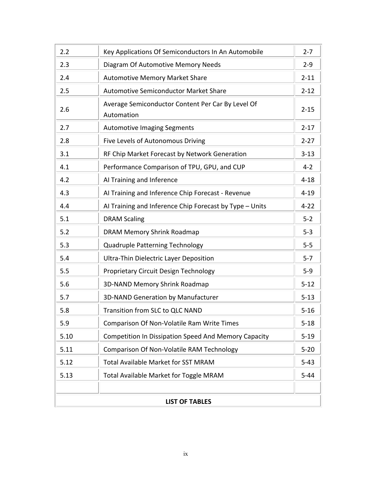| 2.2                   | Key Applications Of Semiconductors In An Automobile             | $2 - 7$  |
|-----------------------|-----------------------------------------------------------------|----------|
| 2.3                   | Diagram Of Automotive Memory Needs                              | $2 - 9$  |
| 2.4                   | <b>Automotive Memory Market Share</b>                           | $2 - 11$ |
| 2.5                   | <b>Automotive Semiconductor Market Share</b>                    | $2 - 12$ |
| 2.6                   | Average Semiconductor Content Per Car By Level Of<br>Automation | $2 - 15$ |
| 2.7                   | <b>Automotive Imaging Segments</b>                              | $2 - 17$ |
| 2.8                   | Five Levels of Autonomous Driving                               | $2 - 27$ |
| 3.1                   | RF Chip Market Forecast by Network Generation                   | $3 - 13$ |
| 4.1                   | Performance Comparison of TPU, GPU, and CUP                     | $4 - 2$  |
| 4.2                   | Al Training and Inference                                       | $4 - 18$ |
| 4.3                   | Al Training and Inference Chip Forecast - Revenue               | $4 - 19$ |
| 4.4                   | Al Training and Inference Chip Forecast by Type - Units         | $4 - 22$ |
| 5.1                   | <b>DRAM Scaling</b>                                             | $5 - 2$  |
| 5.2                   | DRAM Memory Shrink Roadmap                                      | $5 - 3$  |
| 5.3                   | Quadruple Patterning Technology                                 | $5-5$    |
| 5.4                   | <b>Ultra-Thin Dielectric Layer Deposition</b>                   | $5 - 7$  |
| 5.5                   | Proprietary Circuit Design Technology                           | $5-9$    |
| 5.6                   | <b>3D-NAND Memory Shrink Roadmap</b>                            | $5 - 12$ |
| 5.7                   | 3D-NAND Generation by Manufacturer                              | $5 - 13$ |
| 5.8                   | Transition from SLC to QLC NAND                                 | $5 - 16$ |
| 5.9                   | Comparison Of Non-Volatile Ram Write Times                      | $5 - 18$ |
| 5.10                  | <b>Competition In Dissipation Speed And Memory Capacity</b>     | $5 - 19$ |
| 5.11                  | Comparison Of Non-Volatile RAM Technology                       | $5 - 20$ |
| 5.12                  | <b>Total Available Market for SST MRAM</b>                      | $5 - 43$ |
| 5.13                  | Total Available Market for Toggle MRAM                          | $5 - 44$ |
|                       |                                                                 |          |
| <b>LIST OF TABLES</b> |                                                                 |          |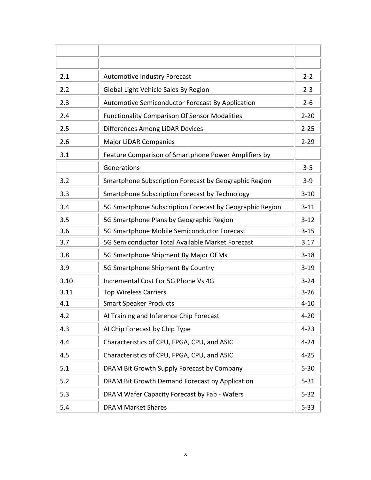| 2.1  | <b>Automotive Industry Forecast</b>                      | $2 - 2$  |
|------|----------------------------------------------------------|----------|
| 2.2  | Global Light Vehicle Sales By Region                     | $2 - 3$  |
| 2.3  | Automotive Semiconductor Forecast By Application         | $2 - 6$  |
| 2.4  | <b>Functionality Comparison Of Sensor Modalities</b>     | $2 - 20$ |
| 2.5  | Differences Among LiDAR Devices                          | $2 - 25$ |
| 2.6  | <b>Major LiDAR Companies</b>                             | $2 - 29$ |
| 3.1  | Feature Comparison of Smartphone Power Amplifiers by     |          |
|      | Generations                                              | $3 - 5$  |
| 3.2  | Smartphone Subscription Forecast by Geographic Region    | $3 - 9$  |
| 3.3  | Smartphone Subscription Forecast by Technology           | $3 - 10$ |
| 3.4  | 5G Smartphone Subscription Forecast by Geographic Region | $3 - 11$ |
| 3.5  | 5G Smartphone Plans by Geographic Region                 | $3 - 12$ |
| 3.6  | 5G Smartphone Mobile Semiconductor Forecast              | $3 - 15$ |
| 3.7  | 5G Semiconductor Total Available Market Forecast         | 3.17     |
| 3.8  | 5G Smartphone Shipment By Major OEMs                     | $3 - 18$ |
| 3.9  | 5G Smartphone Shipment By Country                        | $3 - 19$ |
| 3.10 | Incremental Cost For 5G Phone Vs 4G                      | $3 - 24$ |
| 3.11 | <b>Top Wireless Carriers</b>                             | $3 - 26$ |
| 4.1  | <b>Smart Speaker Products</b>                            | $4 - 10$ |
| 4.2  | Al Training and Inference Chip Forecast                  | $4 - 20$ |
| 4.3  | Al Chip Forecast by Chip Type                            | $4 - 23$ |
| 4.4  | Characteristics of CPU, FPGA, CPU, and ASIC              | $4 - 24$ |
| 4.5  | Characteristics of CPU, FPGA, CPU, and ASIC              | $4 - 25$ |
| 5.1  | DRAM Bit Growth Supply Forecast by Company               | $5 - 30$ |
| 5.2  | DRAM Bit Growth Demand Forecast by Application           | $5 - 31$ |
| 5.3  | DRAM Wafer Capacity Forecast by Fab - Wafers             | $5 - 32$ |
| 5.4  | <b>DRAM Market Shares</b>                                | $5 - 33$ |